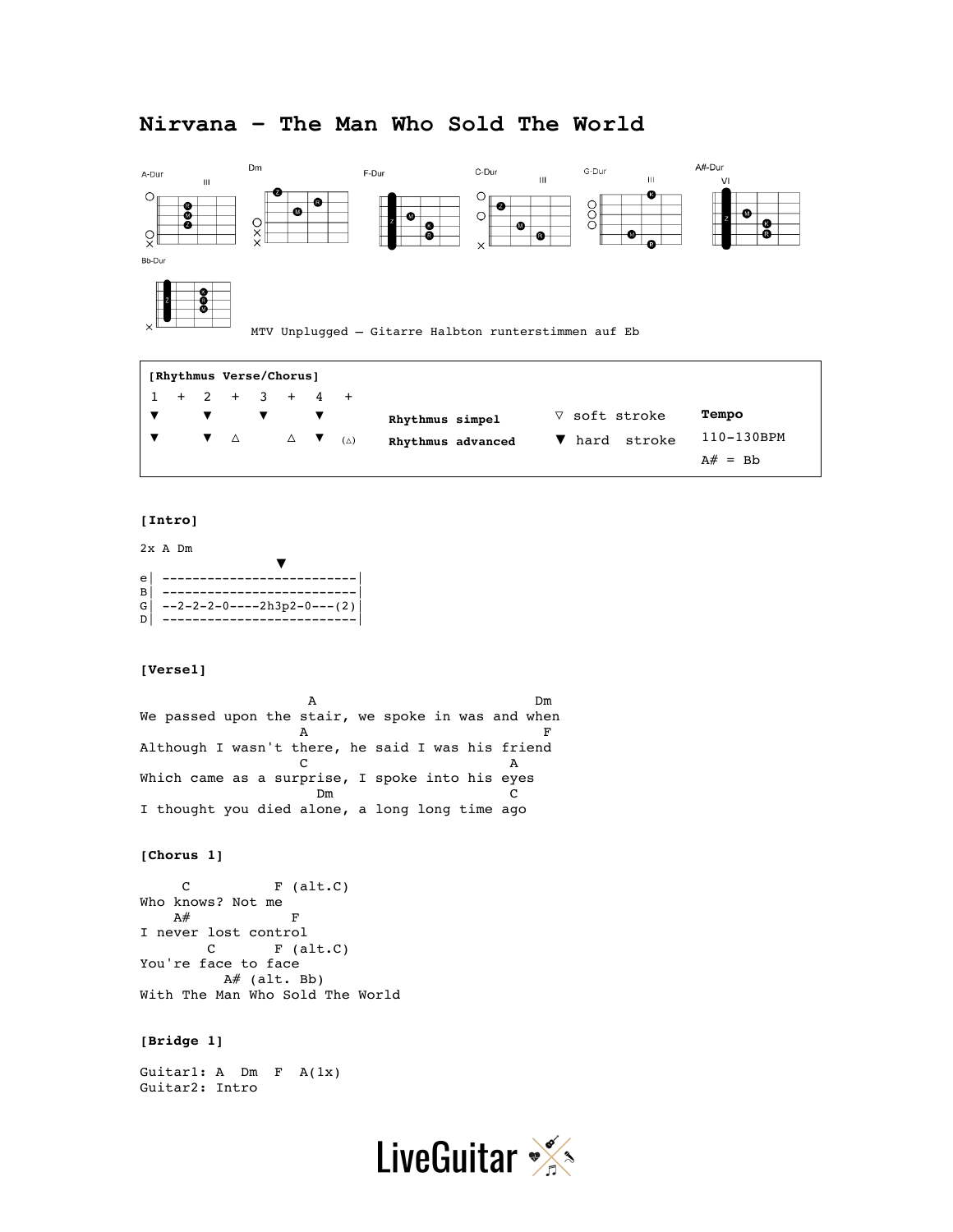# **Nirvana – The Man Who Sold The World**



MTV Unplugged – Gitarre Halbton runterstimmen auf Eb

| [Rhythmus Verse/Chorus] |  |  |  |                   |  |  |                   |               |            |  |
|-------------------------|--|--|--|-------------------|--|--|-------------------|---------------|------------|--|
|                         |  |  |  | $1 + 2 + 3 + 4 +$ |  |  |                   |               |            |  |
|                         |  |  |  |                   |  |  | Rhythmus simpel   | ∇ soft stroke | Tempo      |  |
|                         |  |  |  |                   |  |  | Rhythmus advanced | ▼ hard stroke | 110-130BPM |  |
|                         |  |  |  |                   |  |  |                   |               | $A# = Bh$  |  |

#### **[Intro]**

2x A Dm

| e |                                |
|---|--------------------------------|
| B |                                |
|   | $G$ --2-2-2-0----2h3p2-0---(2) |
|   |                                |

## **[Verse1]**

A Dm We passed upon the stair, we spoke in was and when A F Although I wasn't there, he said I was his friend C A Which came as a surprise, I spoke into his eyes<br>Dm Dm C I thought you died alone, a long long time ago

## **[Chorus 1]**

C F (alt.C) Who knows? Not me  $A#$  F I never lost control<br>C F (a F (alt.C) You're face to face A# (alt. Bb) With The Man Who Sold The World

#### **[Bridge 1]**

Guitar1: A Dm F A(1x) Guitar2: Intro